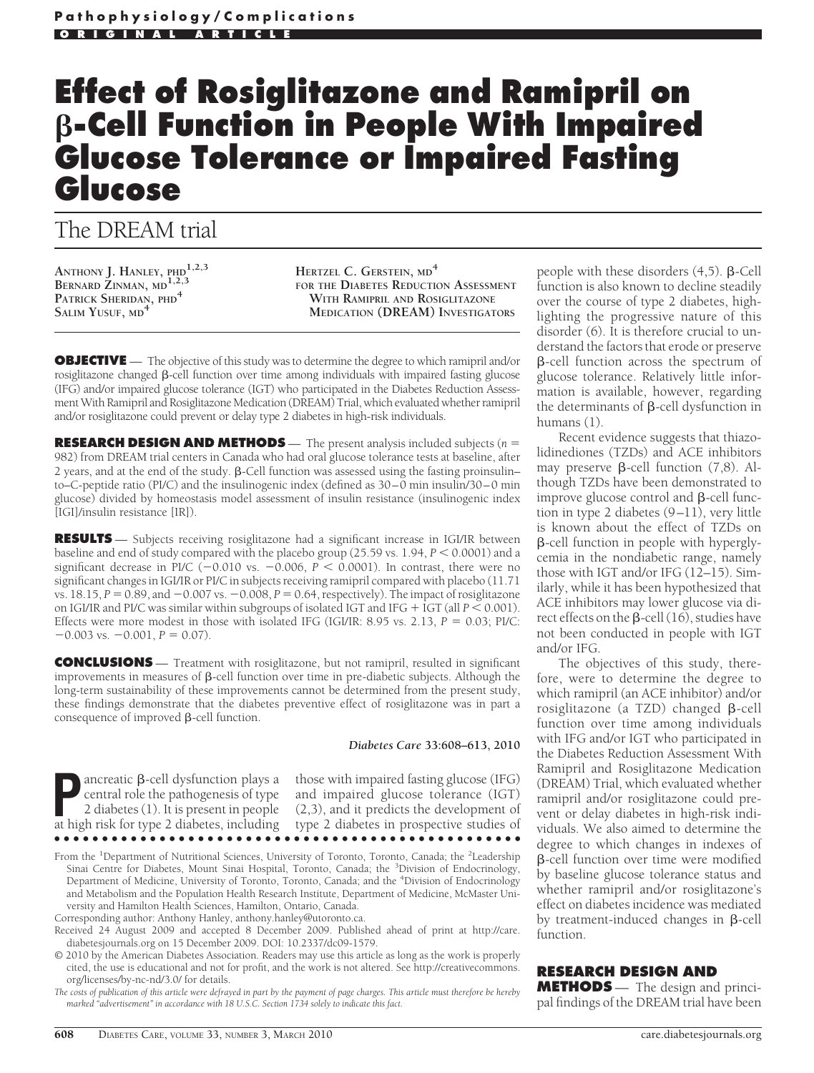# **Effect of Rosiglitazone and Ramipril on -Cell Function in People With Impaired Glucose Tolerance or Impaired Fasting Glucose**

# The DREAM trial

**ANTHONY J. HANLEY, PHD1,2,3 BERNARD ZINMAN, MD1,2,3 PATRICK SHERIDAN, PHD<sup>4</sup> SALIM YUSUF, MD<sup>4</sup>**

**HERTZEL C. GERSTEIN, MD<sup>4</sup> FOR THE DIABETES REDUCTION ASSESSMENT WITH RAMIPRIL AND ROSIGLITAZONE MEDICATION (DREAM) INVESTIGATORS**

**OBJECTIVE** — The objective of this study was to determine the degree to which ramipril and/or rosiglitazone changed  $\beta$ -cell function over time among individuals with impaired fasting glucose (IFG) and/or impaired glucose tolerance (IGT) who participated in the Diabetes Reduction Assessment With Ramipril and Rosiglitazone Medication (DREAM) Trial, which evaluated whether ramipril and/or rosiglitazone could prevent or delay type 2 diabetes in high-risk individuals.

**RESEARCH DESIGN AND METHODS** — The present analysis included subjects (*n* - 982) from DREAM trial centers in Canada who had oral glucose tolerance tests at baseline, after 2 years, and at the end of the study.  $\beta$ -Cell function was assessed using the fasting proinsulin– to–C-peptide ratio (PI/C) and the insulinogenic index (defined as 30–0 min insulin/30–0 min glucose) divided by homeostasis model assessment of insulin resistance (insulinogenic index [IGI]/insulin resistance [IR]).

**RESULTS** — Subjects receiving rosiglitazone had a significant increase in IGI/IR between baseline and end of study compared with the placebo group  $(25.59 \text{ vs. } 1.94, P \leq 0.0001)$  and a significant decrease in PI/C  $(-0.010 \text{ vs. } -0.006, P < 0.0001)$ . In contrast, there were no significant changes in IGI/IR or PI/C in subjects receiving ramipril compared with placebo (11.71 vs.  $18.15$ ,  $P = 0.89$ , and  $-0.007$  vs.  $-0.008$ ,  $P = 0.64$ , respectively). The impact of rosiglitazone on IGI/IR and PI/C was similar within subgroups of isolated IGT and IFG  $+$  IGT (all  $P \le 0.001$ ). Effects were more modest in those with isolated IFG (IGI/IR: 8.95 vs. 2.13,  $P = 0.03$ ; PI/C:  $-0.003$  vs.  $-0.001$ ,  $P = 0.07$ ).

**CONCLUSIONS** — Treatment with rosiglitazone, but not ramipril, resulted in significant improvements in measures of  $\beta$ -cell function over time in pre-diabetic subjects. Although the long-term sustainability of these improvements cannot be determined from the present study, these findings demonstrate that the diabetes preventive effect of rosiglitazone was in part a consequence of improved  $\beta$ -cell function.

*Diabetes Care* **33:608–613, 2010**

**P**ancreatic β-cell dysfunction plays a<br>
central role the pathogenesis of type<br>
2 diabetes (1). It is present in people<br>
at high risk for type 2 diabetes including central role the pathogenesis of type at high risk for type 2 diabetes, including ●●●●●●●●●●●●●●●●●●●●●●●●●●●●●●●●●●●●●●●●●●●●●●●●●

those with impaired fasting glucose (IFG) and impaired glucose tolerance (IGT) (2,3), and it predicts the development of type 2 diabetes in prospective studies of

From the <sup>1</sup>Department of Nutritional Sciences, University of Toronto, Toronto, Canada; the <sup>2</sup>Leadership Sinai Centre for Diabetes, Mount Sinai Hospital, Toronto, Canada; the <sup>3</sup>Division of Endocrinology, Department of Medicine, University of Toronto, Toronto, Canada; and the <sup>4</sup>Division of Endocrinology and Metabolism and the Population Health Research Institute, Department of Medicine, McMaster University and Hamilton Health Sciences, Hamilton, Ontario, Canada.

Corresponding author: Anthony Hanley, anthony.hanley@utoronto.ca.

© 2010 by the American Diabetes Association. Readers may use this article as long as the work is properly cited, the use is educational and not for profit, and the work is not altered. See http://creativecommons. org/licenses/by-nc-nd/3.0/ for details.

*The costs of publication of this article were defrayed in part by the payment of page charges. This article must therefore be hereby marked "advertisement" in accordance with 18 U.S.C. Section 1734 solely to indicate this fact.*

people with these disorders  $(4,5)$ .  $\beta$ -Cell function is also known to decline steadily over the course of type 2 diabetes, highlighting the progressive nature of this disorder (6). It is therefore crucial to understand the factors that erode or preserve  $\beta$ -cell function across the spectrum of glucose tolerance. Relatively little information is available, however, regarding the determinants of  $\beta$ -cell dysfunction in humans (1).

Recent evidence suggests that thiazolidinediones (TZDs) and ACE inhibitors may preserve  $\beta$ -cell function (7,8). Although TZDs have been demonstrated to improve glucose control and  $\beta$ -cell function in type 2 diabetes (9–11), very little is known about the effect of TZDs on -cell function in people with hyperglycemia in the nondiabetic range, namely those with IGT and/or IFG (12–15). Similarly, while it has been hypothesized that ACE inhibitors may lower glucose via direct effects on the  $\beta$ -cell (16), studies have not been conducted in people with IGT and/or IFG.

The objectives of this study, therefore, were to determine the degree to which ramipril (an ACE inhibitor) and/or rosiglitazone (a TZD) changed  $\beta$ -cell function over time among individuals with IFG and/or IGT who participated in the Diabetes Reduction Assessment With Ramipril and Rosiglitazone Medication (DREAM) Trial, which evaluated whether ramipril and/or rosiglitazone could prevent or delay diabetes in high-risk individuals. We also aimed to determine the degree to which changes in indexes of -cell function over time were modified by baseline glucose tolerance status and whether ramipril and/or rosiglitazone's effect on diabetes incidence was mediated by treatment-induced changes in  $\beta$ -cell function.

# **RESEARCH DESIGN AND**

**METHODS** — The design and principal findings of the DREAM trial have been

Received 24 August 2009 and accepted 8 December 2009. Published ahead of print at http://care. diabetesjournals.org on 15 December 2009. DOI: 10.2337/dc09-1579.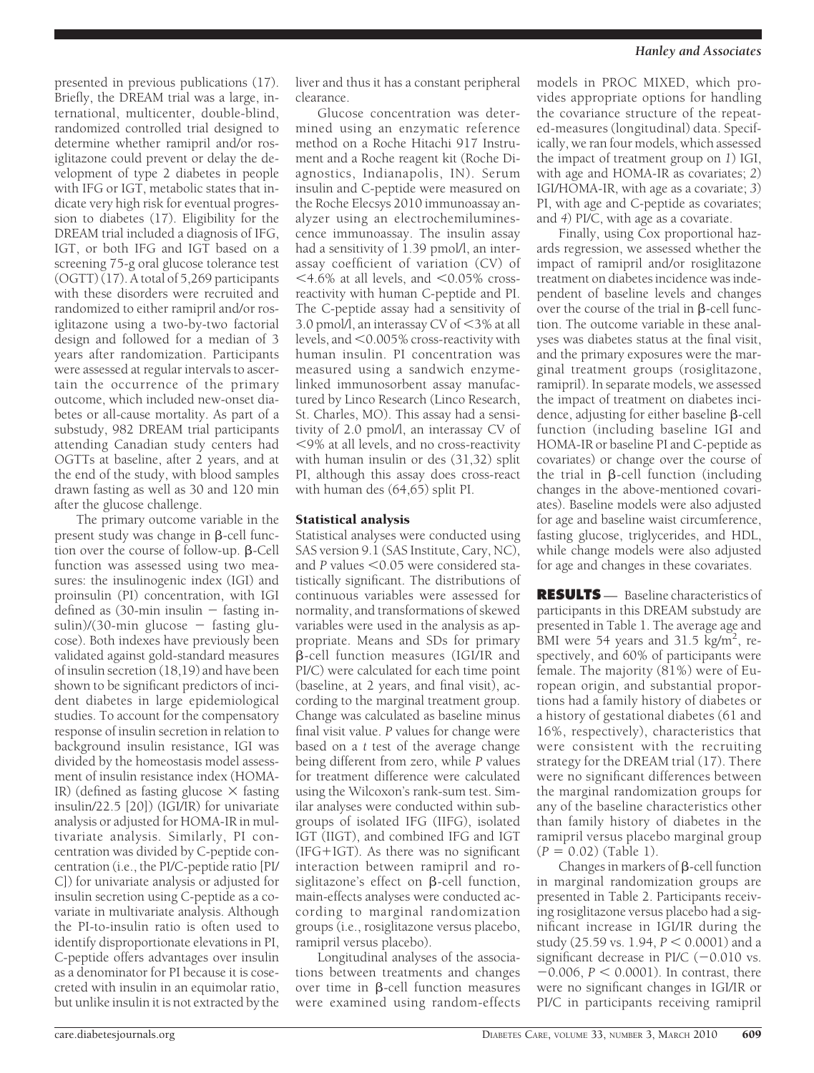presented in previous publications (17). Briefly, the DREAM trial was a large, international, multicenter, double-blind, randomized controlled trial designed to determine whether ramipril and/or rosiglitazone could prevent or delay the development of type 2 diabetes in people with IFG or IGT, metabolic states that indicate very high risk for eventual progression to diabetes (17). Eligibility for the DREAM trial included a diagnosis of IFG, IGT, or both IFG and IGT based on a screening 75-g oral glucose tolerance test (OGTT) (17). A total of 5,269 participants with these disorders were recruited and randomized to either ramipril and/or rosiglitazone using a two-by-two factorial design and followed for a median of 3 years after randomization. Participants were assessed at regular intervals to ascertain the occurrence of the primary outcome, which included new-onset diabetes or all-cause mortality. As part of a substudy, 982 DREAM trial participants attending Canadian study centers had OGTTs at baseline, after 2 years, and at the end of the study, with blood samples drawn fasting as well as 30 and 120 min after the glucose challenge.

The primary outcome variable in the present study was change in  $\beta$ -cell function over the course of follow-up.  $\beta$ -Cell function was assessed using two measures: the insulinogenic index (IGI) and proinsulin (PI) concentration, with IGI defined as  $(30\text{-min}$  insulin  $-$  fasting insulin)/(30-min glucose  $-$  fasting glucose). Both indexes have previously been validated against gold-standard measures of insulin secretion (18,19) and have been shown to be significant predictors of incident diabetes in large epidemiological studies. To account for the compensatory response of insulin secretion in relation to background insulin resistance, IGI was divided by the homeostasis model assessment of insulin resistance index (HOMA-IR) (defined as fasting glucose  $\times$  fasting insulin/22.5 [20]) (IGI/IR) for univariate analysis or adjusted for HOMA-IR in multivariate analysis. Similarly, PI concentration was divided by C-peptide concentration (i.e., the PI/C-peptide ratio [PI/ C]) for univariate analysis or adjusted for insulin secretion using C-peptide as a covariate in multivariate analysis. Although the PI-to-insulin ratio is often used to identify disproportionate elevations in PI, C-peptide offers advantages over insulin as a denominator for PI because it is cosecreted with insulin in an equimolar ratio, but unlike insulin it is not extracted by the

liver and thus it has a constant peripheral clearance.

Glucose concentration was determined using an enzymatic reference method on a Roche Hitachi 917 Instrument and a Roche reagent kit (Roche Diagnostics, Indianapolis, IN). Serum insulin and C-peptide were measured on the Roche Elecsys 2010 immunoassay analyzer using an electrochemiluminescence immunoassay. The insulin assay had a sensitivity of 1.39 pmol/l, an interassay coefficient of variation (CV) of  $14.6\%$  at all levels, and  $10.05\%$  crossreactivity with human C-peptide and PI. The C-peptide assay had a sensitivity of 3.0 pmol/l, an interassay CV of  $\leq$ 3% at all levels, and  $<$  0.005% cross-reactivity with human insulin. PI concentration was measured using a sandwich enzymelinked immunosorbent assay manufactured by Linco Research (Linco Research, St. Charles, MO). This assay had a sensitivity of 2.0 pmol/l, an interassay CV of 9% at all levels, and no cross-reactivity with human insulin or des (31,32) split PI, although this assay does cross-react with human des (64,65) split PI.

# Statistical analysis

Statistical analyses were conducted using SAS version 9.1 (SAS Institute, Cary, NC), and  $P$  values  $<$  0.05 were considered statistically significant. The distributions of continuous variables were assessed for normality, and transformations of skewed variables were used in the analysis as appropriate. Means and SDs for primary -cell function measures (IGI/IR and PI/C) were calculated for each time point (baseline, at 2 years, and final visit), according to the marginal treatment group. Change was calculated as baseline minus final visit value. *P* values for change were based on a *t* test of the average change being different from zero, while *P* values for treatment difference were calculated using the Wilcoxon's rank-sum test. Similar analyses were conducted within subgroups of isolated IFG (IIFG), isolated IGT (IIGT), and combined IFG and IGT  $(IFG+IGT)$ . As there was no significant interaction between ramipril and rosiglitazone's effect on  $\beta$ -cell function, main-effects analyses were conducted according to marginal randomization groups (i.e., rosiglitazone versus placebo, ramipril versus placebo).

Longitudinal analyses of the associations between treatments and changes over time in  $\beta$ -cell function measures were examined using random-effects models in PROC MIXED, which provides appropriate options for handling the covariance structure of the repeated-measures (longitudinal) data. Specifically, we ran four models, which assessed the impact of treatment group on *1*) IGI, with age and HOMA-IR as covariates; *2*) IGI/HOMA-IR, with age as a covariate; *3*) PI, with age and C-peptide as covariates; and *4*) PI/C, with age as a covariate.

Finally, using Cox proportional hazards regression, we assessed whether the impact of ramipril and/or rosiglitazone treatment on diabetes incidence was independent of baseline levels and changes over the course of the trial in  $\beta$ -cell function. The outcome variable in these analyses was diabetes status at the final visit, and the primary exposures were the marginal treatment groups (rosiglitazone, ramipril). In separate models, we assessed the impact of treatment on diabetes incidence, adjusting for either baseline  $\beta$ -cell function (including baseline IGI and HOMA-IR or baseline PI and C-peptide as covariates) or change over the course of the trial in  $\beta$ -cell function (including changes in the above-mentioned covariates). Baseline models were also adjusted for age and baseline waist circumference, fasting glucose, triglycerides, and HDL, while change models were also adjusted for age and changes in these covariates.

**RESULTS** — Baseline characteristics of participants in this DREAM substudy are presented in Table 1. The average age and BMI were 54 years and 31.5  $\text{kg/m}^2$ , respectively, and 60% of participants were female. The majority (81%) were of European origin, and substantial proportions had a family history of diabetes or a history of gestational diabetes (61 and 16%, respectively), characteristics that were consistent with the recruiting strategy for the DREAM trial (17). There were no significant differences between the marginal randomization groups for any of the baseline characteristics other than family history of diabetes in the ramipril versus placebo marginal group  $(P = 0.02)$  (Table 1).

Changes in markers of  $\beta$ -cell function in marginal randomization groups are presented in Table 2. Participants receiving rosiglitazone versus placebo had a significant increase in IGI/IR during the study (25.59 vs. 1.94,  $P < 0.0001$ ) and a significant decrease in PI/C  $(-0.010 \text{ vs.})$  $-0.006$ ,  $P < 0.0001$ ). In contrast, there were no significant changes in IGI/IR or PI/C in participants receiving ramipril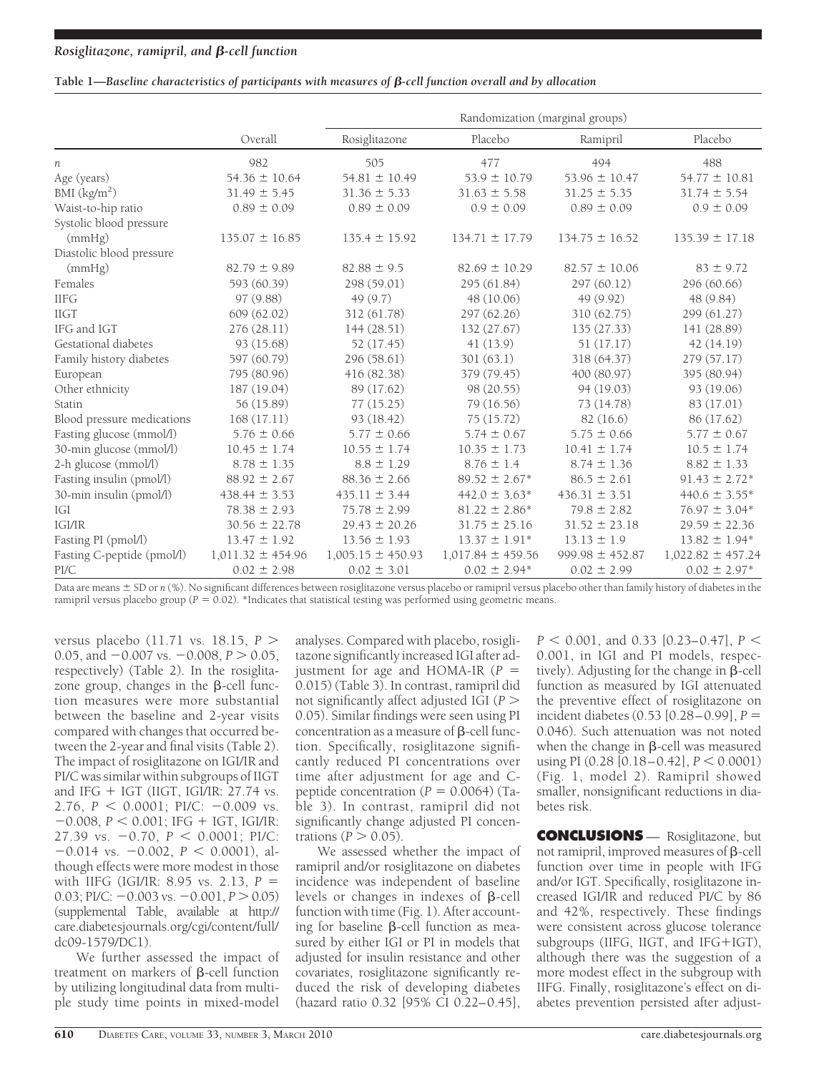# *Rosiglitazone, ramipril, and -cell function*

## Table 1—*Baseline characteristics of participants with measures of*  $\beta$ *-cell function overall and by allocation*

|                            |                       | Randomization (marginal groups) |                       |                     |                       |  |  |
|----------------------------|-----------------------|---------------------------------|-----------------------|---------------------|-----------------------|--|--|
|                            | Overall               | Rosiglitazone                   | Placebo               | Ramipril            | Placebo               |  |  |
| п                          | 982                   | 505                             | 477                   | 494                 | 488                   |  |  |
| Age (years)                | $54.36 \pm 10.64$     | $54.81 \pm 10.49$               | $53.9 \pm 10.79$      | $53.96 \pm 10.47$   | $54.77 \pm 10.81$     |  |  |
| BMI $(kg/m2)$              | $31.49 \pm 5.45$      | $31.36 \pm 5.33$                | $31.63 \pm 5.58$      | $31.25 \pm 5.35$    | $31.74 \pm 5.54$      |  |  |
| Waist-to-hip ratio         | $0.89 \pm 0.09$       | $0.89 \pm 0.09$                 | $0.9 \pm 0.09$        | $0.89 \pm 0.09$     | $0.9 \pm 0.09$        |  |  |
| Systolic blood pressure    |                       |                                 |                       |                     |                       |  |  |
| (mmHg)                     | $135.07 \pm 16.85$    | $135.4 \pm 15.92$               | $134.71 \pm 17.79$    | $134.75 \pm 16.52$  | $135.39 \pm 17.18$    |  |  |
| Diastolic blood pressure   |                       |                                 |                       |                     |                       |  |  |
| (mmHg)                     | $82.79 \pm 9.89$      | $82.88 \pm 9.5$                 | $82.69 \pm 10.29$     | $82.57 \pm 10.06$   | $83 \pm 9.72$         |  |  |
| Females                    | 593 (60.39)           | 298 (59.01)                     | 295 (61.84)           | 297 (60.12)         | 296 (60.66)           |  |  |
| <b>IIFG</b>                | 97 (9.88)             | 49(9.7)                         | 48 (10.06)            | 49 (9.92)           | 48 (9.84)             |  |  |
| <b>IIGT</b>                | 609 (62.02)           | 312 (61.78)                     | 297 (62.26)           | 310 (62.75)         | 299 (61.27)           |  |  |
| IFG and IGT                | 276(28.11)            | 144(28.51)                      | 132 (27.67)           | 135 (27.33)         | 141 (28.89)           |  |  |
| Gestational diabetes       | 93 (15.68)            | 52 (17.45)                      | 41 (13.9)             | 51(17.17)           | 42(14.19)             |  |  |
| Family history diabetes    | 597 (60.79)           | 296 (58.61)                     | 301(63.1)             | 318 (64.37)         | 279 (57.17)           |  |  |
| European                   | 795 (80.96)           | 416 (82.38)                     | 379 (79.45)           | 400 (80.97)         | 395 (80.94)           |  |  |
| Other ethnicity            | 187 (19.04)           | 89 (17.62)                      | 98 (20.55)            | 94 (19.03)          | 93 (19.06)            |  |  |
| Statin                     | 56 (15.89)            | 77(15.25)                       | 79 (16.56)            | 73 (14.78)          | 83 (17.01)            |  |  |
| Blood pressure medications | 168(17.11)            | 93 (18.42)                      | 75(15.72)             | 82(16.6)            | 86 (17.62)            |  |  |
| Fasting glucose (mmol/l)   | $5.76 \pm 0.66$       | $5.77 \pm 0.66$                 | $5.74 \pm 0.67$       | $5.75 \pm 0.66$     | $5.77 \pm 0.67$       |  |  |
| 30-min glucose (mmol/l)    | $10.45 \pm 1.74$      | $10.55 \pm 1.74$                | $10.35 \pm 1.73$      | $10.41 \pm 1.74$    | $10.5 \pm 1.74$       |  |  |
| 2-h glucose (mmol/l)       | $8.78 \pm 1.35$       | $8.8 \pm 1.29$                  | $8.76 \pm 1.4$        | $8.74 \pm 1.36$     | $8.82 \pm 1.33$       |  |  |
| Fasting insulin (pmol/l)   | $88.92 \pm 2.67$      | $88.36 \pm 2.66$                | $89.52 \pm 2.67*$     | $86.5 \pm 2.61$     | $91.43 \pm 2.72*$     |  |  |
| 30-min insulin (pmol/l)    | $438.44 \pm 3.53$     | $435.11 \pm 3.44$               | $442.0 \pm 3.63*$     | $436.31 \pm 3.51$   | $440.6 \pm 3.55*$     |  |  |
| <b>IGI</b>                 | $78.38 \pm 2.93$      | $75.78 \pm 2.99$                | $81.22 \pm 2.86*$     | $79.8 \pm 2.82$     | $76.97 \pm 3.04*$     |  |  |
| IGI/IR                     | $30.56 \pm 22.78$     | $29.43 \pm 20.26$               | $31.75 \pm 25.16$     | $31.52 \pm 23.18$   | $29.59 \pm 22.36$     |  |  |
| Fasting PI (pmol/l)        | $13.47 \pm 1.92$      | $13.56 \pm 1.93$                | $13.37 \pm 1.91*$     | $13.13 \pm 1.9$     | $13.82 \pm 1.94*$     |  |  |
| Fasting C-peptide (pmol/l) | $1,011.32 \pm 454.96$ | $1,005.15 \pm 450.93$           | $1,017.84 \pm 459.56$ | $999.98 \pm 452.87$ | $1,022.82 \pm 457.24$ |  |  |
| PI/C                       | $0.02 \pm 2.98$       | $0.02 \pm 3.01$                 | $0.02 \pm 2.94*$      | $0.02 \pm 2.99$     | $0.02 \pm 2.97*$      |  |  |

Data are means  $\pm$  SD or *n* (%). No significant differences between rosiglitazone versus placebo or ramipril versus placebo other than family history of diabetes in the ramipril versus placebo group ( $P = 0.02$ ). \*Indicates that statistical testing was performed using geometric means.

versus placebo (11.71 vs. 18.15, *P* 0.05, and  $-0.007$  vs.  $-0.008$ ,  $P > 0.05$ , respectively) (Table 2). In the rosiglitazone group, changes in the  $\beta$ -cell function measures were more substantial between the baseline and 2-year visits compared with changes that occurred between the 2-year and final visits (Table 2). The impact of rosiglitazone on IGI/IR and PI/C was similar within subgroups of IIGT and IFG  $+$  IGT (IIGT, IGI/IR: 27.74 vs. 2.76,  $P < 0.0001$ ; PI/C:  $-0.009$  vs.  $-0.008$ ,  $P < 0.001$ ; IFG + IGT, IGI/IR: 27.39 vs.  $-0.70$ ,  $P < 0.0001$ ; PI/C:  $-0.014$  vs.  $-0.002$ ,  $P < 0.0001$ ), although effects were more modest in those with IIFG (IGI/IR: 8.95 vs. 2.13,  $P =$  $0.03$ ; PI/C:  $-0.003$  vs.  $-0.001$ ,  $P > 0.05$ ) (supplemental Table, available at http:// care.diabetesjournals.org/cgi/content/full/ dc09-1579/DC1).

We further assessed the impact of treatment on markers of  $\beta$ -cell function by utilizing longitudinal data from multiple study time points in mixed-model analyses. Compared with placebo, rosiglitazone significantly increased IGI after adjustment for age and HOMA-IR  $(P =$ 0.015) (Table 3). In contrast, ramipril did not significantly affect adjusted IGI (*P* 0.05). Similar findings were seen using PI concentration as a measure of  $\beta$ -cell function. Specifically, rosiglitazone significantly reduced PI concentrations over time after adjustment for age and Cpeptide concentration  $(P = 0.0064)$  (Table 3). In contrast, ramipril did not significantly change adjusted PI concentrations  $(P > 0.05)$ .

We assessed whether the impact of ramipril and/or rosiglitazone on diabetes incidence was independent of baseline levels or changes in indexes of  $\beta$ -cell function with time (Fig. 1). After accounting for baseline  $\beta$ -cell function as measured by either IGI or PI in models that adjusted for insulin resistance and other covariates, rosiglitazone significantly reduced the risk of developing diabetes (hazard ratio 0.32 [95% CI 0.22–0.45],

*P* 0.001, and 0.33 [0.23–0.47], *P* 0.001, in IGI and PI models, respectively). Adjusting for the change in  $\beta$ -cell function as measured by IGI attenuated the preventive effect of rosiglitazone on incident diabetes (0.53 [0.28–0.99], *P* - 0.046). Such attenuation was not noted when the change in  $\beta$ -cell was measured using PI  $(0.28 \, [0.18 - 0.42], P \leq 0.0001)$ (Fig. 1, model 2). Ramipril showed smaller, nonsignificant reductions in diabetes risk.

**CONCLUSIONS** — Rosiglitazone, but not ramipril, improved measures of  $\beta$ -cell function over time in people with IFG and/or IGT. Specifically, rosiglitazone increased IGI/IR and reduced PI/C by 86 and 42%, respectively. These findings were consistent across glucose tolerance subgroups (IIFG, IIGT, and IFG+IGT), although there was the suggestion of a more modest effect in the subgroup with IIFG. Finally, rosiglitazone's effect on diabetes prevention persisted after adjust-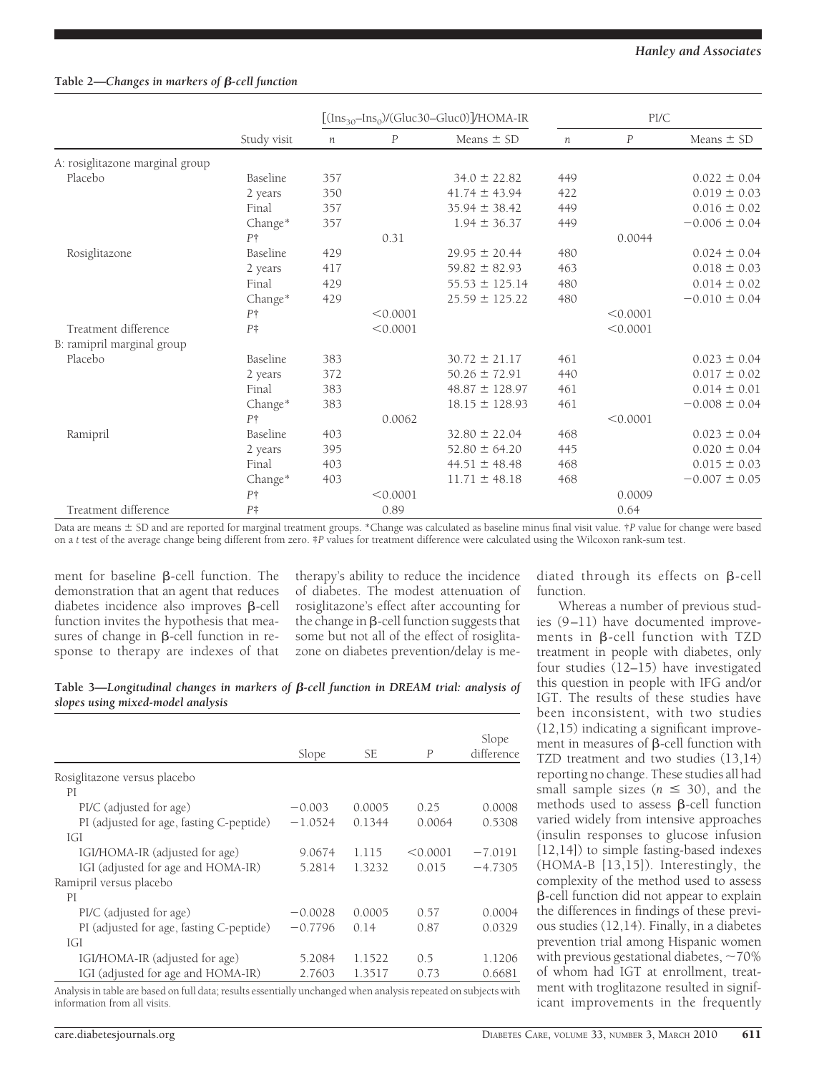## Table 2—*Changes in markers of*  $\beta$ -cell function

|                                 | Study visit    | $[(Ins_{30} - Ins_0)/(Gluc30 - Gluc0)]/HOMA-IR]$ |                  | PI/C               |                  |                  |                   |
|---------------------------------|----------------|--------------------------------------------------|------------------|--------------------|------------------|------------------|-------------------|
|                                 |                | $\boldsymbol{n}$                                 | $\boldsymbol{P}$ | Means $\pm$ SD     | $\boldsymbol{n}$ | $\boldsymbol{P}$ | Means $\pm$ SD    |
| A: rosiglitazone marginal group |                |                                                  |                  |                    |                  |                  |                   |
| Placebo                         | Baseline       | 357                                              |                  | $34.0 \pm 22.82$   | 449              |                  | $0.022 \pm 0.04$  |
|                                 | 2 years        | 350                                              |                  | $41.74 \pm 43.94$  | 422              |                  | $0.019 \pm 0.03$  |
|                                 | Final          | 357                                              |                  | $35.94 \pm 38.42$  | 449              |                  | $0.016 \pm 0.02$  |
|                                 | Change*        | 357                                              |                  | $1.94 \pm 36.37$   | 449              |                  | $-0.006 \pm 0.04$ |
|                                 | $P+$           |                                                  | 0.31             |                    |                  | 0.0044           |                   |
| Rosiglitazone                   | Baseline       | 429                                              |                  | $29.95 \pm 20.44$  | 480              |                  | $0.024 \pm 0.04$  |
|                                 | 2 years        | 417                                              |                  | $59.82 \pm 82.93$  | 463              |                  | $0.018 \pm 0.03$  |
|                                 | Final          | 429                                              |                  | $55.53 \pm 125.14$ | 480              |                  | $0.014 \pm 0.02$  |
|                                 | Change*        | 429                                              |                  | $25.59 \pm 125.22$ | 480              |                  | $-0.010 \pm 0.04$ |
|                                 | $P+$           |                                                  | < 0.0001         |                    |                  | < 0.0001         |                   |
| Treatment difference            | $P^{\ddagger}$ |                                                  | < 0.0001         |                    |                  | < 0.0001         |                   |
| B: ramipril marginal group      |                |                                                  |                  |                    |                  |                  |                   |
| Placebo                         | Baseline       | 383                                              |                  | $30.72 \pm 21.17$  | 461              |                  | $0.023 \pm 0.04$  |
|                                 | 2 years        | 372                                              |                  | $50.26 \pm 72.91$  | 440              |                  | $0.017 \pm 0.02$  |
|                                 | Final          | 383                                              |                  | $48.87 \pm 128.97$ | 461              |                  | $0.014 \pm 0.01$  |
|                                 | Change*        | 383                                              |                  | $18.15 \pm 128.93$ | 461              |                  | $-0.008 \pm 0.04$ |
|                                 | $P+$           |                                                  | 0.0062           |                    |                  | < 0.0001         |                   |
| Ramipril                        | Baseline       | 403                                              |                  | $32.80 \pm 22.04$  | 468              |                  | $0.023 \pm 0.04$  |
|                                 | 2 years        | 395                                              |                  | $52.80 \pm 64.20$  | 445              |                  | $0.020 \pm 0.04$  |
|                                 | Final          | 403                                              |                  | $44.51 \pm 48.48$  | 468              |                  | $0.015 \pm 0.03$  |
|                                 | Change*        | 403                                              |                  | $11.71 \pm 48.18$  | 468              |                  | $-0.007 \pm 0.05$ |
|                                 | $P+$           |                                                  | < 0.0001         |                    |                  | 0.0009           |                   |
| Treatment difference            | $P^{\ddagger}$ |                                                  | 0.89             |                    |                  | 0.64             |                   |

Data are means  $\pm$  SD and are reported for marginal treatment groups. \*Change was calculated as baseline minus final visit value. †*P* value for change were based on a *t* test of the average change being different from zero. ‡*P* values for treatment difference were calculated using the Wilcoxon rank-sum test.

ment for baseline  $\beta$ -cell function. The demonstration that an agent that reduces diabetes incidence also improves  $\beta$ -cell function invites the hypothesis that measures of change in  $\beta$ -cell function in response to therapy are indexes of that therapy's ability to reduce the incidence of diabetes. The modest attenuation of rosiglitazone's effect after accounting for the change in  $\beta$ -cell function suggests that some but not all of the effect of rosiglita-

diated through its effects on  $\beta$ -cell function.

Whereas a number of previous studies (9–11) have documented improve-

zone on diabetes prevention/delay is me-Table 3—*Longitudinal changes in markers of*  $\beta$ -cell function in DREAM trial: analysis of *slopes using mixed-model analysis*

|                                          | Slope     | SE     | $\overline{P}$ | Slope<br>difference |
|------------------------------------------|-----------|--------|----------------|---------------------|
| Rosiglitazone versus placebo             |           |        |                |                     |
| PI                                       |           |        |                |                     |
| PI/C (adjusted for age)                  | $-0.003$  | 0.0005 | 0.25           | 0.0008              |
| PI (adjusted for age, fasting C-peptide) | $-1.0524$ | 0.1344 | 0.0064         | 0.5308              |
| IGI                                      |           |        |                |                     |
| IGI/HOMA-IR (adjusted for age)           | 9.0674    | 1.115  | < 0.0001       | $-7.0191$           |
| IGI (adjusted for age and HOMA-IR)       | 5.2814    | 1.3232 | 0.015          | $-4.7305$           |
| Ramipril versus placebo                  |           |        |                |                     |
| PI                                       |           |        |                |                     |
| PI/C (adjusted for age)                  | $-0.0028$ | 0.0005 | 0.57           | 0.0004              |
| PI (adjusted for age, fasting C-peptide) | $-0.7796$ | 0.14   | 0.87           | 0.0329              |
| IGI                                      |           |        |                |                     |
| IGI/HOMA-IR (adjusted for age)           | 5.2084    | 1.1522 | 0.5            | 1.1206              |
| IGI (adjusted for age and HOMA-IR)       | 2.7603    | 1.3517 | 0.73           | 0.6681              |

Analysis in table are based on full data; results essentially unchanged when analysis repeated on subjects with information from all visits.

ments in  $\beta$ -cell function with TZD treatment in people with diabetes, only four studies (12–15) have investigated this question in people with IFG and/or IGT. The results of these studies have been inconsistent, with two studies (12,15) indicating a significant improvement in measures of  $\beta$ -cell function with TZD treatment and two studies (13,14) reporting no change. These studies all had small sample sizes ( $n \leq 30$ ), and the methods used to assess  $\beta$ -cell function varied widely from intensive approaches (insulin responses to glucose infusion [12,14]) to simple fasting-based indexes (HOMA-B [13,15]). Interestingly, the complexity of the method used to assess -cell function did not appear to explain the differences in findings of these previous studies (12,14). Finally, in a diabetes prevention trial among Hispanic women with previous gestational diabetes,  $\sim$  70% of whom had IGT at enrollment, treatment with troglitazone resulted in significant improvements in the frequently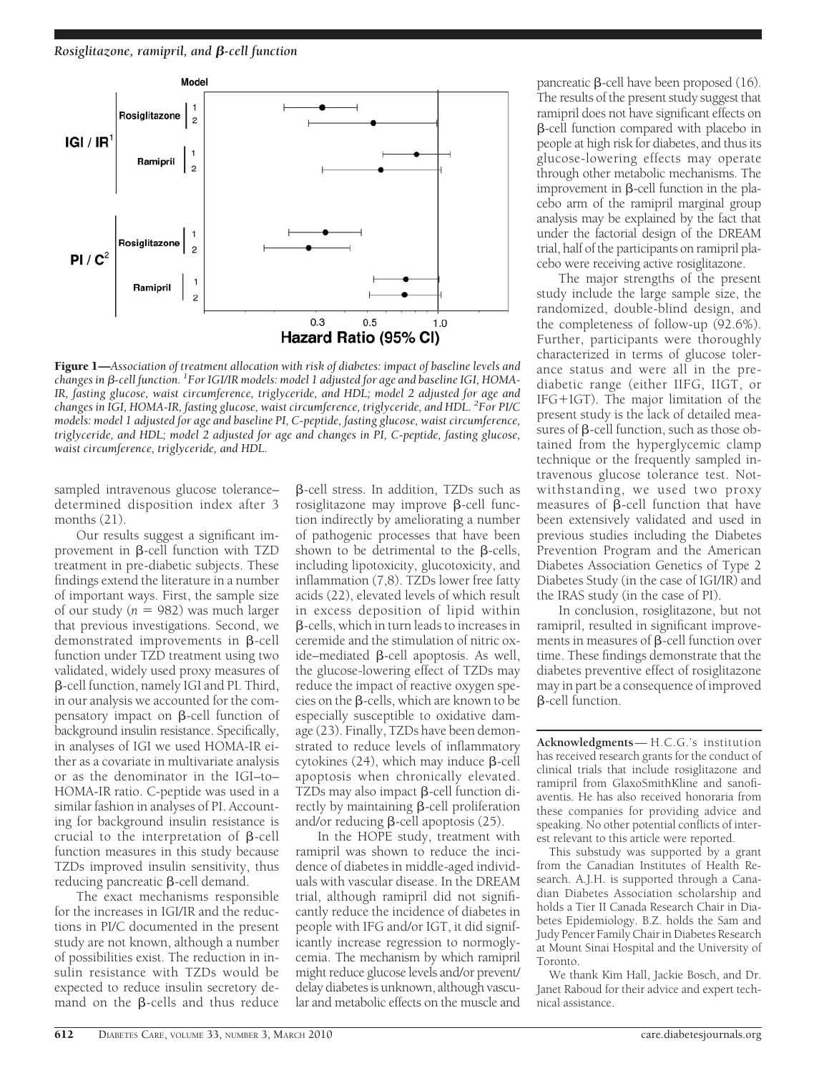

Figure 1—*Association of treatment allocation with risk of diabetes: impact of baseline levels and* changes in β-cell function. <sup>1</sup>For IGI/IR models: model 1 adjusted for age and baseline IGI, HOMA-*IR, fasting glucose, waist circumference, triglyceride, and HDL; model 2 adjusted for age and changes in IGI, HOMA-IR, fasting glucose, waist circumference, triglyceride, and HDL. <sup>2</sup> For PI/C models: model 1 adjusted for age and baseline PI, C-peptide, fasting glucose, waist circumference, triglyceride, and HDL; model 2 adjusted for age and changes in PI, C-peptide, fasting glucose, waist circumference, triglyceride, and HDL.*

sampled intravenous glucose tolerance– determined disposition index after 3 months (21).

Our results suggest a significant improvement in  $\beta$ -cell function with TZD treatment in pre-diabetic subjects. These findings extend the literature in a number of important ways. First, the sample size of our study  $(n = 982)$  was much larger that previous investigations. Second, we demonstrated improvements in  $\beta$ -cell function under TZD treatment using two validated, widely used proxy measures of -cell function, namely IGI and PI. Third, in our analysis we accounted for the compensatory impact on  $\beta$ -cell function of background insulin resistance. Specifically, in analyses of IGI we used HOMA-IR either as a covariate in multivariate analysis or as the denominator in the IGI–to– HOMA-IR ratio. C-peptide was used in a similar fashion in analyses of PI. Accounting for background insulin resistance is crucial to the interpretation of  $\beta$ -cell function measures in this study because TZDs improved insulin sensitivity, thus  $reducing$  pancreatic  $\beta$ -cell demand.

The exact mechanisms responsible for the increases in IGI/IR and the reductions in PI/C documented in the present study are not known, although a number of possibilities exist. The reduction in insulin resistance with TZDs would be expected to reduce insulin secretory demand on the  $\beta$ -cells and thus reduce

-cell stress. In addition, TZDs such as rosiglitazone may improve  $\beta$ -cell function indirectly by ameliorating a number of pathogenic processes that have been shown to be detrimental to the  $\beta$ -cells, including lipotoxicity, glucotoxicity, and inflammation (7,8). TZDs lower free fatty acids (22), elevated levels of which result in excess deposition of lipid within -cells, which in turn leads to increases in ceremide and the stimulation of nitric oxide–mediated  $\beta$ -cell apoptosis. As well, the glucose-lowering effect of TZDs may reduce the impact of reactive oxygen species on the  $\beta$ -cells, which are known to be especially susceptible to oxidative damage (23). Finally, TZDs have been demonstrated to reduce levels of inflammatory cytokines  $(24)$ , which may induce  $\beta$ -cell apoptosis when chronically elevated. TZDs may also impact  $\beta$ -cell function directly by maintaining  $\beta$ -cell proliferation and/or reducing  $\beta$ -cell apoptosis (25).

In the HOPE study, treatment with ramipril was shown to reduce the incidence of diabetes in middle-aged individuals with vascular disease. In the DREAM trial, although ramipril did not significantly reduce the incidence of diabetes in people with IFG and/or IGT, it did significantly increase regression to normoglycemia. The mechanism by which ramipril might reduce glucose levels and/or prevent/ delay diabetes is unknown, although vascular and metabolic effects on the muscle and

pancreatic  $\beta$ -cell have been proposed (16). The results of the present study suggest that ramipril does not have significant effects on -cell function compared with placebo in people at high risk for diabetes, and thus its glucose-lowering effects may operate through other metabolic mechanisms. The improvement in  $\beta$ -cell function in the placebo arm of the ramipril marginal group analysis may be explained by the fact that under the factorial design of the DREAM trial, half of the participants on ramipril placebo were receiving active rosiglitazone.

The major strengths of the present study include the large sample size, the randomized, double-blind design, and the completeness of follow-up (92.6%). Further, participants were thoroughly characterized in terms of glucose tolerance status and were all in the prediabetic range (either IIFG, IIGT, or  $IFG+IGT$ ). The major limitation of the present study is the lack of detailed measures of  $\beta$ -cell function, such as those obtained from the hyperglycemic clamp technique or the frequently sampled intravenous glucose tolerance test. Notwithstanding, we used two proxy measures of  $\beta$ -cell function that have been extensively validated and used in previous studies including the Diabetes Prevention Program and the American Diabetes Association Genetics of Type 2 Diabetes Study (in the case of IGI/IR) and the IRAS study (in the case of PI).

In conclusion, rosiglitazone, but not ramipril, resulted in significant improvements in measures of  $\beta$ -cell function over time. These findings demonstrate that the diabetes preventive effect of rosiglitazone may in part be a consequence of improved -cell function.

**Acknowledgments**— H.C.G.'s institution has received research grants for the conduct of clinical trials that include rosiglitazone and ramipril from GlaxoSmithKline and sanofiaventis. He has also received honoraria from these companies for providing advice and speaking. No other potential conflicts of interest relevant to this article were reported.

This substudy was supported by a grant from the Canadian Institutes of Health Research. A.J.H. is supported through a Canadian Diabetes Association scholarship and holds a Tier II Canada Research Chair in Diabetes Epidemiology. B.Z. holds the Sam and Judy Pencer Family Chair in Diabetes Research at Mount Sinai Hospital and the University of Toronto.

We thank Kim Hall, Jackie Bosch, and Dr. Janet Raboud for their advice and expert technical assistance.